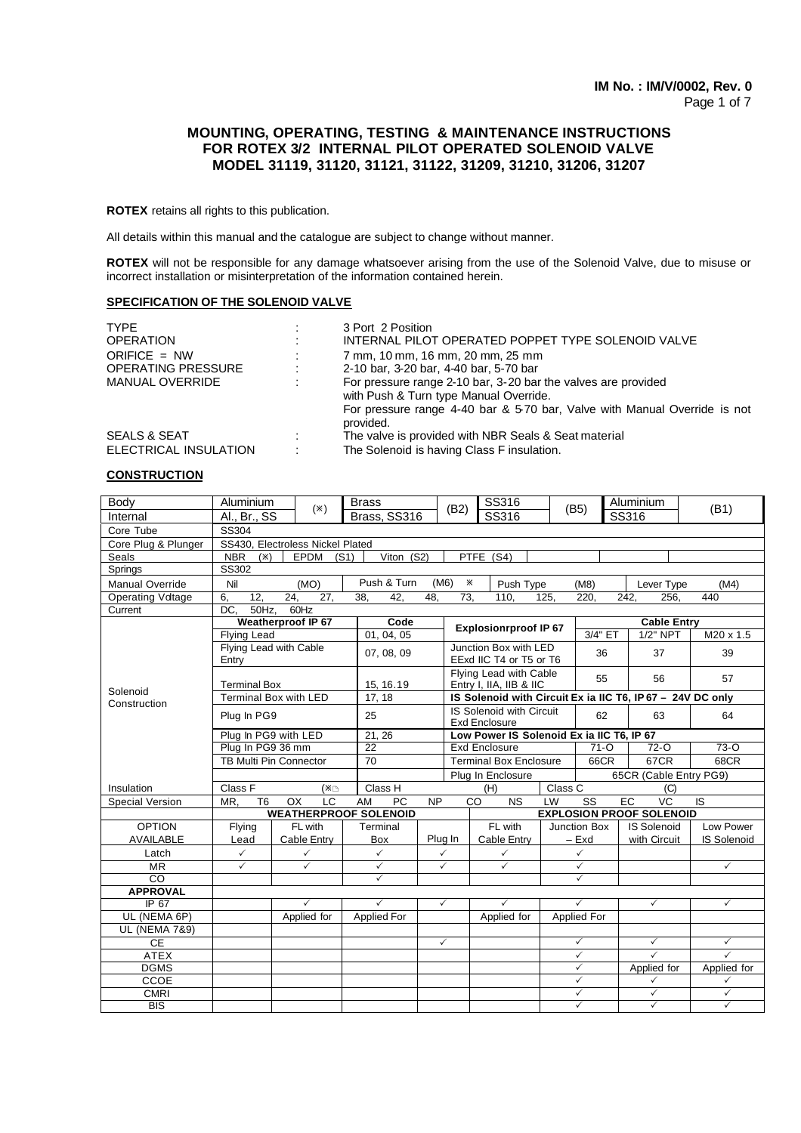# **MOUNTING, OPERATING, TESTING & MAINTENANCE INSTRUCTIONS FOR ROTEX 3/2 INTERNAL PILOT OPERATED SOLENOID VALVE MODEL 31119, 31120, 31121, 31122, 31209, 31210, 31206, 31207**

**ROTEX** retains all rights to this publication.

All details within this manual and the catalogue are subject to change without manner.

**ROTEX** will not be responsible for any damage whatsoever arising from the use of the Solenoid Valve, due to misuse or incorrect installation or misinterpretation of the information contained herein.

## **SPECIFICATION OF THE SOLENOID VALVE**

| <b>TYPF</b><br><b>OPERATION</b><br>ORIFICE = $NW$<br><b>OPERATING PRESSURE</b><br><b>MANUAL OVERRIDE</b> | 3 Port 2 Position<br>INTERNAL PILOT OPERATED POPPET TYPE SOLENOID VALVE<br>7 mm, 10 mm, 16 mm, 20 mm, 25 mm<br>2-10 bar, 3-20 bar, 4-40 bar, 5-70 bar<br>For pressure range 2-10 bar, 3-20 bar the valves are provided<br>with Push & Turn type Manual Override. |
|----------------------------------------------------------------------------------------------------------|------------------------------------------------------------------------------------------------------------------------------------------------------------------------------------------------------------------------------------------------------------------|
|                                                                                                          | For pressure range 4-40 bar & 5-70 bar, Valve with Manual Override is not<br>provided.                                                                                                                                                                           |
| <b>SEALS &amp; SEAT</b>                                                                                  | The valve is provided with NBR Seals & Seat material                                                                                                                                                                                                             |
| ELECTRICAL INSULATION                                                                                    | The Solenoid is having Class F insulation.                                                                                                                                                                                                                       |

#### **CONSTRUCTION**

| Body                                  | Aluminium                                                       | $(\times)$                    | <b>Brass</b>                 |            | SS316<br>(B2)                                     |                                                  |          | (B5)                   | Aluminium                                                 | (B1)               |
|---------------------------------------|-----------------------------------------------------------------|-------------------------------|------------------------------|------------|---------------------------------------------------|--------------------------------------------------|----------|------------------------|-----------------------------------------------------------|--------------------|
| Internal                              | Al., Br., SS                                                    |                               | Brass, SS316                 |            |                                                   | SS316                                            |          |                        | SS316                                                     |                    |
| Core Tube                             | SS304                                                           |                               |                              |            |                                                   |                                                  |          |                        |                                                           |                    |
| Core Plug & Plunger                   | SS430, Electroless Nickel Plated                                |                               |                              |            |                                                   |                                                  |          |                        |                                                           |                    |
| Seals                                 | <b>NBR</b><br>Viton $(S2)$<br><b>EPDM</b><br>(S1)<br>$(\times)$ |                               |                              |            |                                                   | PTFE (S4)                                        |          |                        |                                                           |                    |
| Springs                               |                                                                 | SS302                         |                              |            |                                                   |                                                  |          |                        |                                                           |                    |
| <b>Manual Override</b>                | Nil                                                             | (MO)                          | Push & Turn                  |            | (M6)<br>Ж                                         | Push Type                                        |          | (M8)                   | Lever Type                                                | (M4)               |
| <b>Operating Voltage</b>              | 6,<br>12.                                                       | 24,<br>27,                    | $\overline{38}$ ,<br>42.     | 48.        | $\overline{73}$ .                                 | 110.                                             | 125.     | 220.                   | 242.<br>256.                                              | 440                |
| Current                               | DC.<br>50Hz.                                                    | $60$ Hz                       |                              |            |                                                   |                                                  |          |                        |                                                           |                    |
|                                       |                                                                 | <b>Weatherproof IP 67</b>     | Code                         |            |                                                   | <b>Explosionrproof IP 67</b>                     |          |                        | <b>Cable Entry</b>                                        |                    |
|                                       | <b>Flying Lead</b>                                              |                               |                              | 01, 04, 05 |                                                   |                                                  |          | 3/4" ET                | 1/2" NPT                                                  | M20 x 1.5          |
|                                       | Entry                                                           | Flying Lead with Cable        | 07, 08, 09                   |            |                                                   | Junction Box with LED<br>EExd IIC T4 or T5 or T6 |          | 36                     | 37                                                        | 39                 |
|                                       | <b>Terminal Box</b>                                             |                               | 15, 16.19                    |            | Flying Lead with Cable<br>Entry I, IIA, IIB & IIC |                                                  |          | 55                     | 56                                                        | 57                 |
| Solenoid<br>Construction              |                                                                 | Terminal Box with LED         | 17, 18                       |            |                                                   |                                                  |          |                        | IS Solenoid with Circuit Ex ia IIC T6, IP67 - 24V DC only |                    |
|                                       | Plug In PG9                                                     |                               | 25                           |            |                                                   | IS Solenoid with Circuit<br><b>Exd Enclosure</b> |          | 62                     | 63                                                        | 64                 |
|                                       |                                                                 | Plug In PG9 with LED          | 21, 26                       |            |                                                   | Low Power IS Solenoid Ex ia IIC T6, IP 67        |          |                        |                                                           |                    |
|                                       | Plug In PG9 36 mm                                               |                               | $\overline{22}$              |            | <b>Exd Enclosure</b>                              |                                                  | $71 - 0$ | $72 - 0$               | $73-0$                                                    |                    |
|                                       |                                                                 | <b>TB Multi Pin Connector</b> | 70                           |            |                                                   | <b>Terminal Box Enclosure</b>                    |          | 66CR                   | 67CR                                                      | 68CR               |
|                                       |                                                                 |                               |                              |            | Plug In Enclosure                                 |                                                  |          | 65CR (Cable Entry PG9) |                                                           |                    |
| Insulation                            | Class F                                                         | (*⊡                           | Class H                      |            |                                                   | (H)                                              | Class C  |                        | (C)                                                       |                    |
| Special Version                       | T <sub>6</sub><br>MR.                                           | LC<br><b>OX</b>               | <b>PC</b><br>AM              | <b>NP</b>  |                                                   | <b>NS</b><br>CO                                  | LW       | $\overline{\text{ss}}$ | <b>EC</b><br>VC                                           | <b>IS</b>          |
|                                       |                                                                 |                               | <b>WEATHERPROOF SOLENOID</b> |            | <b>EXPLOSION PROOF SOLENOID</b>                   |                                                  |          |                        |                                                           |                    |
| <b>OPTION</b>                         | Flying                                                          | FL with                       | Terminal                     |            | FL with                                           |                                                  |          | Junction Box           | <b>IS Solenoid</b>                                        | Low Power          |
| <b>AVAILABLE</b>                      | Lead                                                            | Cable Entry                   | Box                          |            | Plug In                                           | Cable Entry                                      | $-$ Exd  |                        | with Circuit                                              | <b>IS Solenoid</b> |
| Latch                                 | $\checkmark$                                                    | $\checkmark$                  | $\checkmark$                 |            | $\checkmark$                                      | $\checkmark$                                     |          | $\checkmark$           |                                                           |                    |
| <b>MR</b>                             | $\checkmark$<br>$\checkmark$                                    |                               | $\checkmark$                 |            | $\checkmark$<br>$\checkmark$                      |                                                  |          | $\checkmark$           |                                                           | $\checkmark$       |
| $\overline{c}$                        |                                                                 |                               | ✓                            |            |                                                   |                                                  |          | ✓                      |                                                           |                    |
| <b>APPROVAL</b>                       |                                                                 | ✓                             | $\checkmark$                 |            |                                                   | $\checkmark$                                     |          | $\checkmark$           |                                                           |                    |
| IP 67                                 |                                                                 |                               |                              |            | $\checkmark$                                      |                                                  |          |                        | $\checkmark$                                              | $\checkmark$       |
| UL (NEMA 6P)                          |                                                                 | Applied for                   | Applied For                  |            |                                                   | Applied for                                      |          | <b>Applied For</b>     |                                                           |                    |
| <b>UL (NEMA 7&amp;9)</b><br><b>CE</b> |                                                                 |                               |                              |            | $\checkmark$                                      |                                                  |          | $\checkmark$           | $\checkmark$                                              | $\checkmark$       |
| <b>ATEX</b>                           |                                                                 |                               |                              |            |                                                   |                                                  |          | $\checkmark$           | $\checkmark$                                              | $\checkmark$       |
| <b>DGMS</b>                           |                                                                 |                               |                              |            |                                                   |                                                  |          | $\checkmark$           | Applied for                                               | Applied for        |
| CCOE                                  |                                                                 |                               |                              |            |                                                   |                                                  |          | $\checkmark$           | $\checkmark$                                              | $\checkmark$       |
| <b>CMRI</b>                           |                                                                 |                               |                              |            |                                                   |                                                  |          | $\checkmark$           | $\checkmark$                                              | $\checkmark$       |
| <b>BIS</b>                            |                                                                 |                               |                              |            |                                                   |                                                  |          | $\checkmark$           | $\checkmark$                                              | $\checkmark$       |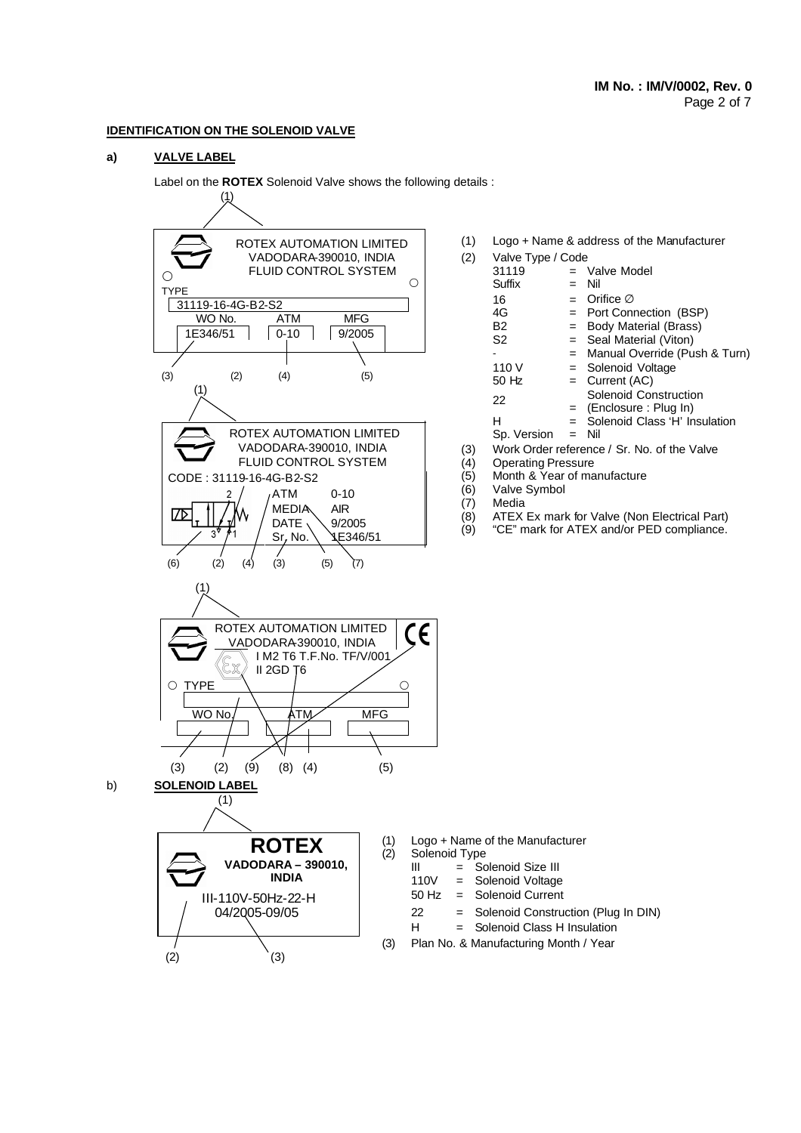## **IDENTIFICATION ON THE SOLENOID VALVE**

### **a) VALVE LABEL**

Label on the **ROTEX** Solenoid Valve shows the following details :  $(1)$ 



| (1) | Logo + Name & address of the Manufacturer   |     |                               |  |  |  |  |
|-----|---------------------------------------------|-----|-------------------------------|--|--|--|--|
| (2) | Valve Type / Code                           |     |                               |  |  |  |  |
|     | 31119                                       |     | $=$ Valve Model               |  |  |  |  |
|     | Suffix                                      | $=$ | Nil                           |  |  |  |  |
|     | 16                                          |     | $=$ Orifice $\varnothing$     |  |  |  |  |
|     | 4G                                          |     | = Port Connection (BSP)       |  |  |  |  |
|     | B2                                          | $=$ | <b>Body Material (Brass)</b>  |  |  |  |  |
|     | S2                                          |     | $=$ Seal Material (Viton)     |  |  |  |  |
|     |                                             | $=$ | Manual Override (Push & Turn) |  |  |  |  |
|     | 110 V                                       |     | $=$ Solenoid Voltage          |  |  |  |  |
|     | 50 Hz                                       | $=$ | Current (AC)                  |  |  |  |  |
|     | 22                                          |     | Solenoid Construction         |  |  |  |  |
|     |                                             | $=$ | (Enclosure: Plug In)          |  |  |  |  |
|     | н                                           | $=$ | Solenoid Class 'H' Insulation |  |  |  |  |
|     | Sp. Version                                 | $=$ | Nil                           |  |  |  |  |
| (3) | Work Order reference / Sr. No. of the Valve |     |                               |  |  |  |  |
| (4) | <b>Operating Pressure</b>                   |     |                               |  |  |  |  |
|     |                                             |     |                               |  |  |  |  |

- (5) Month & Year of manufacture
- 
- 
- 
- (8) ATEX Ex mark for Valve (Non Electrical Part)<br>(9) "CE" mark for ATEX and/or PED compliance. "CE" mark for ATEX and/or PED compliance.

- 
- 
- 
- = Solenoid Construction (Plug In DIN)
- H = Solenoid Class H Insulation
- (3) Plan No. & Manufacturing Month / Year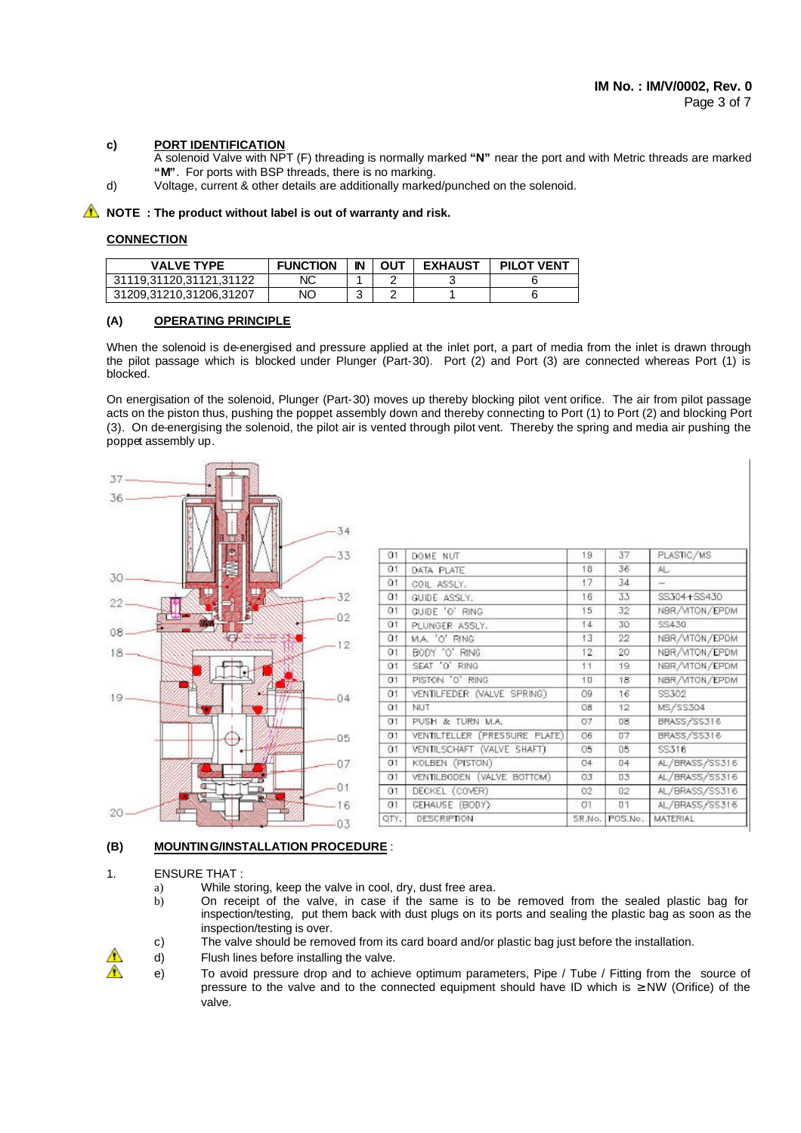## **c) PORT IDENTIFICATION**

- A solenoid Valve with NPT (F) threading is normally marked **"N"** near the port and with Metric threads are marked **"M"**. For ports with BSP threads, there is no marking.
- d) Voltage, current & other details are additionally marked/punched on the solenoid.

## **A** NOTE : The product without label is out of warranty and risk.

#### **CONNECTION**

| VALVE TYPE              | <b>FUNCTION</b> | IN | OUT | <b>EXHAUST</b> | <b>PILOT VENT</b> |
|-------------------------|-----------------|----|-----|----------------|-------------------|
| 31119.31120.31121.31122 | NC              |    |     |                |                   |
| 31209,31210,31206,31207 | NΟ              |    |     |                |                   |

#### **(A) OPERATING PRINCIPLE**

When the solenoid is de-energised and pressure applied at the inlet port, a part of media from the inlet is drawn through the pilot passage which is blocked under Plunger (Part-30). Port (2) and Port (3) are connected whereas Port (1) is blocked.

On energisation of the solenoid, Plunger (Part-30) moves up thereby blocking pilot vent orifice. The air from pilot passage acts on the piston thus, pushing the poppet assembly down and thereby connecting to Port (1) to Port (2) and blocking Port (3). On de-energising the solenoid, the pilot air is vented through pilot vent. Thereby the spring and media air pushing the poppet assembly up.



#### **(B) MOUNTING/INSTALLATION PROCEDURE** :

#### 1. ENSURE THAT :

- a) While storing, keep the valve in cool, dry, dust free area.
- b) On receipt of the valve, in case if the same is to be removed from the sealed plastic bag for inspection/testing, put them back with dust plugs on its ports and sealing the plastic bag as soon as the inspection/testing is over.
- c) The valve should be removed from its card board and/or plastic bag just before the installation.
- d) Flush lines before installing the valve.
- e) To avoid pressure drop and to achieve optimum parameters, Pipe / Tube / Fitting from the source of pressure to the valve and to the connected equipment should have ID which is ≥ NW (Orifice) of the valve.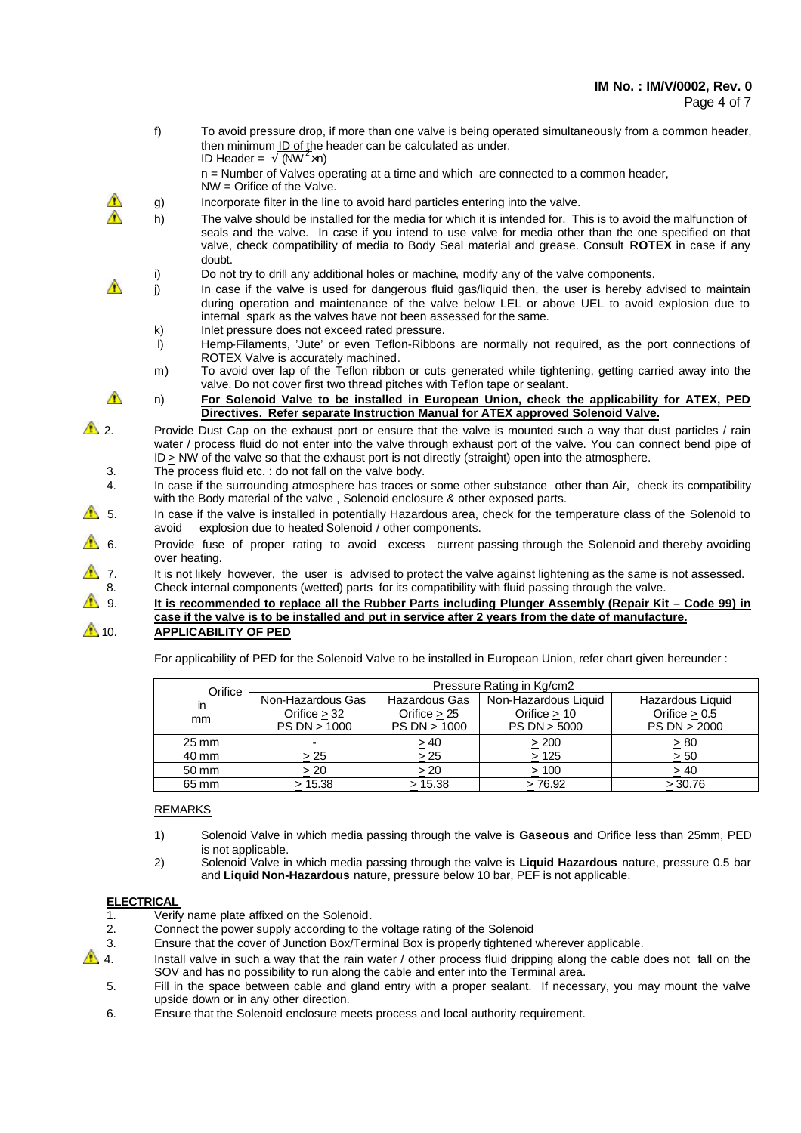f) To avoid pressure drop, if more than one valve is being operated simultaneously from a common header, then minimum ID of the header can be calculated as under. ID Header =  $\sqrt{(NW^2 \times n)}$  n = Number of Valves operating at a time and which are connected to a common header, NW = Orifice of the Valve. g) Incorporate filter in the line to avoid hard particles entering into the valve. h) The valve should be installed for the media for which it is intended for. This is to avoid the malfunction of seals and the valve. In case if you intend to use valve for media other than the one specified on that valve, check compatibility of media to Body Seal material and grease. Consult **ROTEX** in case if any doubt. i) Do not try to drill any additional holes or machine, modify any of the valve components. j) In case if the valve is used for dangerous fluid gas/liquid then, the user is hereby advised to maintain during operation and maintenance of the valve below LEL or above UEL to avoid explosion due to internal spark as the valves have not been assessed for the same. k) Inlet pressure does not exceed rated pressure. l) Hemp-Filaments, 'Jute' or even Teflon-Ribbons are normally not required, as the port connections of ROTEX Valve is accurately machined. m) To avoid over lap of the Teflon ribbon or cuts generated while tightening, getting carried away into the valve. Do not cover first two thread pitches with Teflon tape or sealant. **1 h**) For Solenoid Valve to be installed in European Union, check the applicability for ATEX, PED **Directives. Refer separate Instruction Manual for ATEX approved Solenoid Valve.** 2. Provide Dust Cap on the exhaust port or ensure that the valve is mounted such a way that dust particles / rain water / process fluid do not enter into the valve through exhaust port of the valve. You can connect bend pipe of ID > NW of the valve so that the exhaust port is not directly (straight) open into the atmosphere. 3. The process fluid etc. : do not fall on the valve body. 4. In case if the surrounding atmosphere has traces or some other substance other than Air, check its compatibility with the Body material of the valve , Solenoid enclosure & other exposed parts.  $\triangle$  5. In case if the valve is installed in potentially Hazardous area, check for the temperature class of the Solenoid to avoid explosion due to heated Solenoid / other components. 6. Provide fuse of proper rating to avoid excess current passing through the Solenoid and thereby avoiding over heating. 7. It is not likely however, the user is advised to protect the valve against lightening as the same is not assessed. 8. Check internal components (wetted) parts for its compatibility with fluid passing through the valve. 9. **It is recommended to replace all the Rubber Parts including Plunger Assembly (Repair Kit – Code 99) in case if the valve is to be installed and put in service after 2 years from the date of manufacture. 10. APPLICABILITY OF PED** 

For applicability of PED for the Solenoid Valve to be installed in European Union, refer chart given hereunder :

| Orifice            | Pressure Rating in Kg/cm2 |                      |                      |                  |  |  |  |  |
|--------------------|---------------------------|----------------------|----------------------|------------------|--|--|--|--|
| m                  | Non-Hazardous Gas         | <b>Hazardous Gas</b> | Non-Hazardous Liquid | Hazardous Liquid |  |  |  |  |
| mm.                | Orifice $>32$             | Orifice $> 25$       | Orifice $> 10$       | Orifice $> 0.5$  |  |  |  |  |
|                    | PS DN > 1000              | PS DN > 1000         | PS DN > 5000         | PS DN > 2000     |  |  |  |  |
| $25 \,\mathrm{mm}$ | $\overline{\phantom{a}}$  | >40                  | > 200                | > 80             |  |  |  |  |
| 40 mm              | > 25                      | >25                  | >125                 | > 50             |  |  |  |  |
| 50 mm              | > 20                      | > 20                 | >100                 | > 40             |  |  |  |  |
| 65 mm              | > 15.38                   | > 15.38              | >76.92               | > 30.76          |  |  |  |  |

#### REMARKS

- 1) Solenoid Valve in which media passing through the valve is **Gaseous** and Orifice less than 25mm, PED is not applicable.
- 2) Solenoid Valve in which media passing through the valve is **Liquid Hazardous** nature, pressure 0.5 bar and **Liquid Non-Hazardous** nature, pressure below 10 bar, PEF is not applicable.

## **ELECTRICAL**

- 1. Verify name plate affixed on the Solenoid.
- 2. Connect the power supply according to the voltage rating of the Solenoid
- 3. Ensure that the cover of Junction Box/Terminal Box is properly tightened wherever applicable.
- $\triangle$  4. Install valve in such a way that the rain water / other process fluid dripping along the cable does not fall on the SOV and has no possibility to run along the cable and enter into the Terminal area.
	- 5. Fill in the space between cable and gland entry with a proper sealant. If necessary, you may mount the valve upside down or in any other direction.
	- 6. Ensure that the Solenoid enclosure meets process and local authority requirement.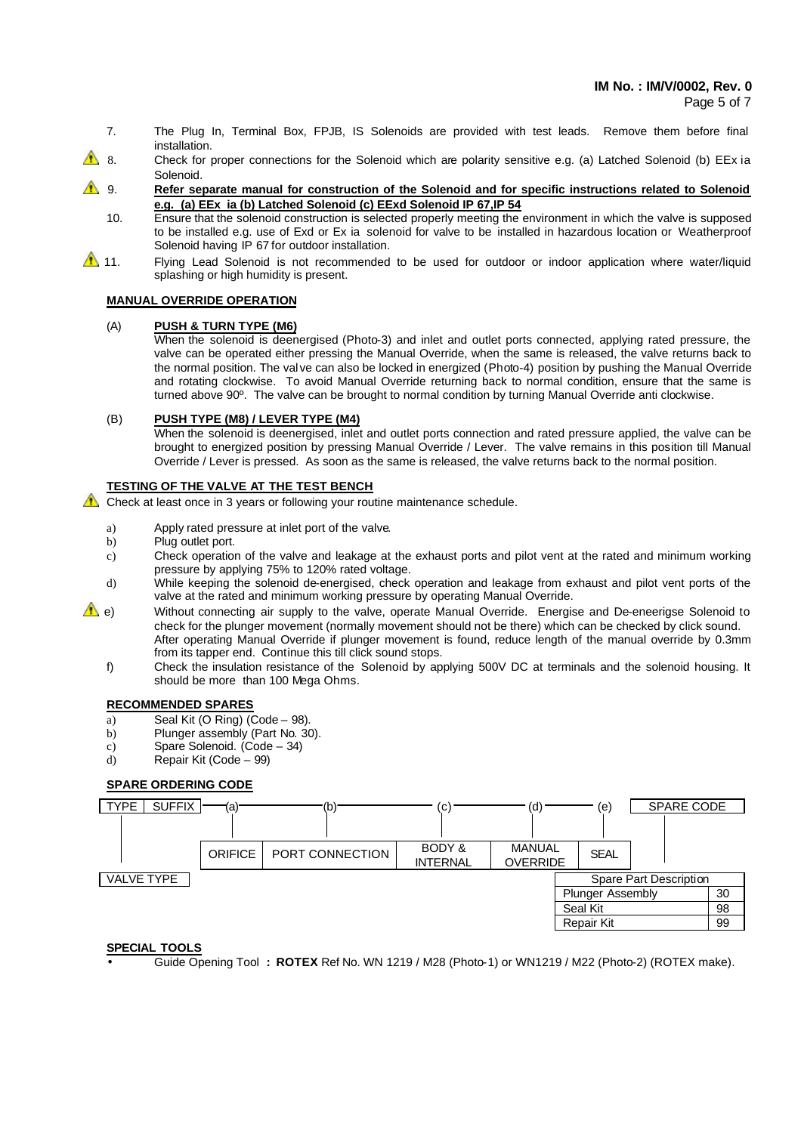Page 5 of 7

- 7. The Plug In, Terminal Box, FPJB, IS Solenoids are provided with test leads. Remove them before final installation.
- 8. Check for proper connections for the Solenoid which are polarity sensitive e.g. (a) Latched Solenoid (b) EEx ia Solenoid.
- **1** 9. **Refer separate manual for construction of the Solenoid and for specific instructions related to Solenoid e.g. (a) EEx ia (b) Latched Solenoid (c) EExd Solenoid IP 67,IP 54**
	- 10. Ensure that the solenoid construction is selected properly meeting the environment in which the valve is supposed to be installed e.g. use of Exd or Ex ia solenoid for valve to be installed in hazardous location or Weatherproof Solenoid having IP 67 for outdoor installation.
- 11. Flying Lead Solenoid is not recommended to be used for outdoor or indoor application where water/liquid splashing or high humidity is present.

## **MANUAL OVERRIDE OPERATION**

### (A) **PUSH & TURN TYPE (M6)**

When the solenoid is deenergised (Photo-3) and inlet and outlet ports connected, applying rated pressure, the valve can be operated either pressing the Manual Override, when the same is released, the valve returns back to the normal position. The val ve can also be locked in energized (Photo-4) position by pushing the Manual Override and rotating clockwise. To avoid Manual Override returning back to normal condition, ensure that the same is turned above 90º. The valve can be brought to normal condition by turning Manual Override anti clockwise.

### (B) **PUSH TYPE (M8) / LEVER TYPE (M4)**

When the solenoid is deenergised, inlet and outlet ports connection and rated pressure applied, the valve can be brought to energized position by pressing Manual Override / Lever. The valve remains in this position till Manual Override / Lever is pressed. As soon as the same is released, the valve returns back to the normal position.

## **TESTING OF THE VALVE AT THE TEST BENCH**

 $\triangle$  Check at least once in 3 years or following your routine maintenance schedule.

- a) Apply rated pressure at inlet port of the valve.
- b) Plug outlet port.
- c) Check operation of the valve and leakage at the exhaust ports and pilot vent at the rated and minimum working pressure by applying 75% to 120% rated voltage.
- d) While keeping the solenoid de-energised, check operation and leakage from exhaust and pilot vent ports of the valve at the rated and minimum working pressure by operating Manual Override.
- e) Without connecting air supply to the valve, operate Manual Override. Energise and De-eneerigse Solenoid to check for the plunger movement (normally movement should not be there) which can be checked by click sound. After operating Manual Override if plunger movement is found, reduce length of the manual override by 0.3mm from its tapper end. Continue this till click sound stops.
	- f) Check the insulation resistance of the Solenoid by applying 500V DC at terminals and the solenoid housing. It should be more than 100 Mega Ohms.

## **RECOMMENDED SPARES**

- a) Seal Kit (O Ring) (Code 98).
- b) Plunger assembly (Part No. 30).
- c) Spare Solenoid. (Code 34)
- d) Repair Kit (Code 99)

# **SPARE ORDERING CODE**



# **SPECIAL TOOLS**

• Guide Opening Tool **: ROTEX** Ref No. WN 1219 / M28 (Photo-1) or WN1219 / M22 (Photo-2) (ROTEX make).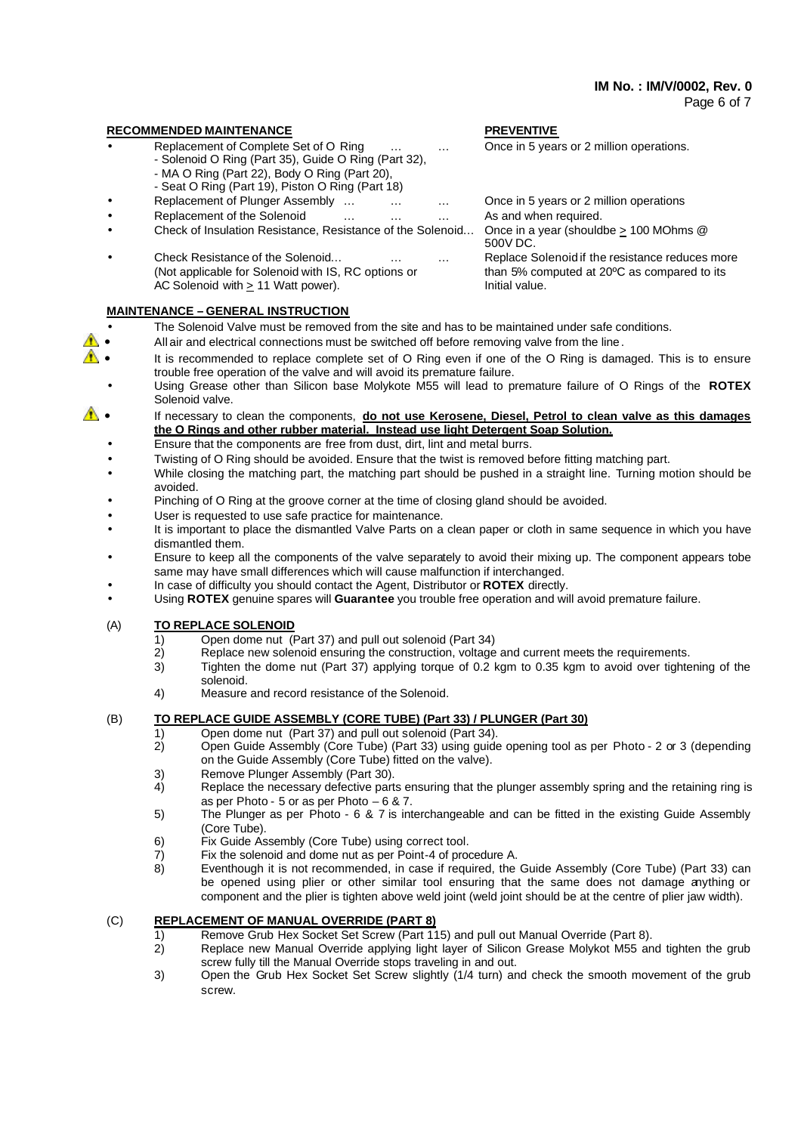#### Page 6 of 7

#### **RECOMMENDED MAINTENANCE PREVENTIVE**

- Replacement of Complete Set of O Ring ... . ... Once in 5 years or 2 million operations.
	- Solenoid O Ring (Part 35), Guide O Ring (Part 32),
	- MA O Ring (Part 22), Body O Ring (Part 20),
	- Seat O Ring (Part 19), Piston O Ring (Part 18)
	-
- Replacement of the Solenoid … … … … As and when required.
- Check of Insulation Resistance, Resistance of the Solenoid… Once in a year (shouldbe > 100 MOhms @
- Check Resistance of the Solenoid... **Exercise 20** manned and Replace Solenoid if the resistance reduces more (Not applicable for Solenoid with IS, RC options or than 5% computed at 20ºC as compared to its AC Solenoid with  $\geq 11$  Watt power). Initial value.

## **MAINTENANCE – GENERAL INSTRUCTION**

- The Solenoid Valve must be removed from the site and has to be maintained under safe conditions.
- All air and electrical connections must be switched off before removing valve from the line.
- It is recommended to replace complete set of O Ring even if one of the O Ring is damaged. This is to ensure trouble free operation of the valve and will avoid its premature failure.
	- Using Grease other than Silicon base Molykote M55 will lead to premature failure of O Rings of the **ROTEX** Solenoid valve.
- **<sup>4</sup>** If necessary to clean the components, **do not use Kerosene, Diesel, Petrol to clean valve as this damages the O Rings and other rubber material. Instead use light Detergent Soap Solution.**
	- Ensure that the components are free from dust, dirt, lint and metal burrs.
	- Twisting of O Ring should be avoided. Ensure that the twist is removed before fitting matching part.
	- While closing the matching part, the matching part should be pushed in a straight line. Turning motion should be avoided.
	- Pinching of O Ring at the groove corner at the time of closing gland should be avoided.
	- User is requested to use safe practice for maintenance.
	- It is important to place the dismantled Valve Parts on a clean paper or cloth in same sequence in which you have dismantled them.
	- Ensure to keep all the components of the valve separately to avoid their mixing up. The component appears tobe same may have small differences which will cause malfunction if interchanged.
	- In case of difficulty you should contact the Agent, Distributor or **ROTEX** directly.
	- Using **ROTEX** genuine spares will **Guarantee** you trouble free operation and will avoid premature failure.

## (A) **TO REPLACE SOLENOID**

- 1) Open dome nut (Part 37) and pull out solenoid (Part 34)<br>2) Replace new solenoid ensuring the construction, voltage
- Replace new solenoid ensuring the construction, voltage and current meets the requirements.
- 3) Tighten the dome nut (Part 37) applying torque of 0.2 kgm to 0.35 kgm to avoid over tightening of the solenoid.
- 4) Measure and record resistance of the Solenoid.

## (B) **TO REPLACE GUIDE ASSEMBLY (CORE TUBE) (Part 33) / PLUNGER (Part 30)**

- 1) Open dome nut (Part 37) and pull out solenoid (Part 34).
- 2) Open Guide Assembly (Core Tube) (Part 33) using guide opening tool as per Photo 2 or 3 (depending on the Guide Assembly (Core Tube) fitted on the valve).
- 3) Remove Plunger Assembly (Part 30).<br>4) Replace the necessary defective part
- Replace the necessary defective parts ensuring that the plunger assembly spring and the retaining ring is as per Photo - 5 or as per Photo – 6 & 7.
- 5) The Plunger as per Photo 6 & 7 is interchangeable and can be fitted in the existing Guide Assembly (Core Tube).
- 6) Fix Guide Assembly (Core Tube) using correct tool.
- 7) Fix the solenoid and dome nut as per Point-4 of procedure A.
- 8) Eventhough it is not recommended, in case if required, the Guide Assembly (Core Tube) (Part 33) can be opened using plier or other similar tool ensuring that the same does not damage anything or component and the plier is tighten above weld joint (weld joint should be at the centre of plier jaw width).

## (C) **REPLACEMENT OF MANUAL OVERRIDE (PART 8)**

- 1) Remove Grub Hex Socket Set Screw (Part 115) and pull out Manual Override (Part 8).
- 2) Replace new Manual Override applying light layer of Silicon Grease Molykot M55 and tighten the grub screw fully till the Manual Override stops traveling in and out.
- 3) Open the Grub Hex Socket Set Screw slightly (1/4 turn) and check the smooth movement of the grub screw.

Replacement of Plunger Assembly ... . ... ... ... Once in 5 years or 2 million operations

500V DC.